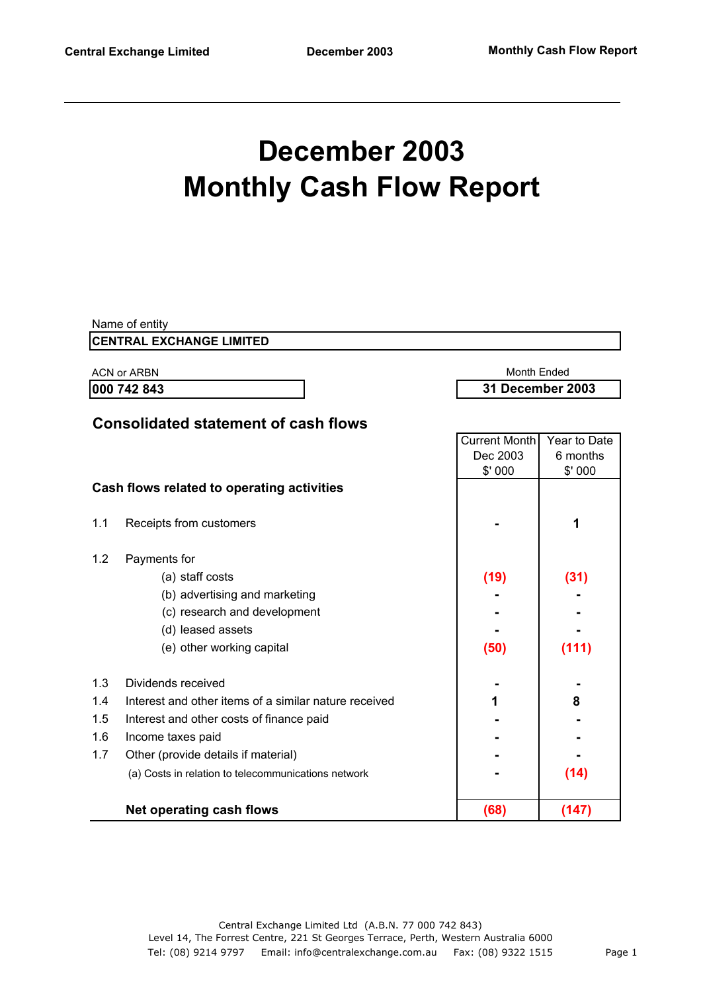# **December 2003 Monthly Cash Flow Report**

|     | Name of entity                                        |                      |                  |
|-----|-------------------------------------------------------|----------------------|------------------|
|     | <b>CENTRAL EXCHANGE LIMITED</b>                       |                      |                  |
|     | <b>ACN or ARBN</b>                                    | Month Ended          |                  |
|     | 000 742 843                                           |                      | 31 December 2003 |
|     |                                                       |                      |                  |
|     | <b>Consolidated statement of cash flows</b>           |                      |                  |
|     |                                                       | <b>Current Month</b> | Year to Date     |
|     |                                                       | Dec 2003             | 6 months         |
|     |                                                       | \$'000               | \$'000           |
|     | Cash flows related to operating activities            |                      |                  |
| 1.1 | Receipts from customers                               |                      | 1                |
|     |                                                       |                      |                  |
| 1.2 | Payments for                                          |                      |                  |
|     | (a) staff costs                                       | (19)                 | (31)             |
|     | (b) advertising and marketing                         |                      |                  |
|     | (c) research and development                          |                      |                  |
|     | (d) leased assets                                     |                      |                  |
|     | (e) other working capital                             | (50)                 | (111)            |
|     |                                                       |                      |                  |
| 1.3 | Dividends received                                    |                      |                  |
| 1.4 | Interest and other items of a similar nature received | 1                    | 8                |
| 1.5 | Interest and other costs of finance paid              |                      |                  |
| 1.6 | Income taxes paid                                     |                      |                  |
| 1.7 | Other (provide details if material)                   |                      |                  |
|     | (a) Costs in relation to telecommunications network   |                      | (14)             |
|     |                                                       |                      |                  |
|     | <b>Net operating cash flows</b>                       | (68)                 | (147)            |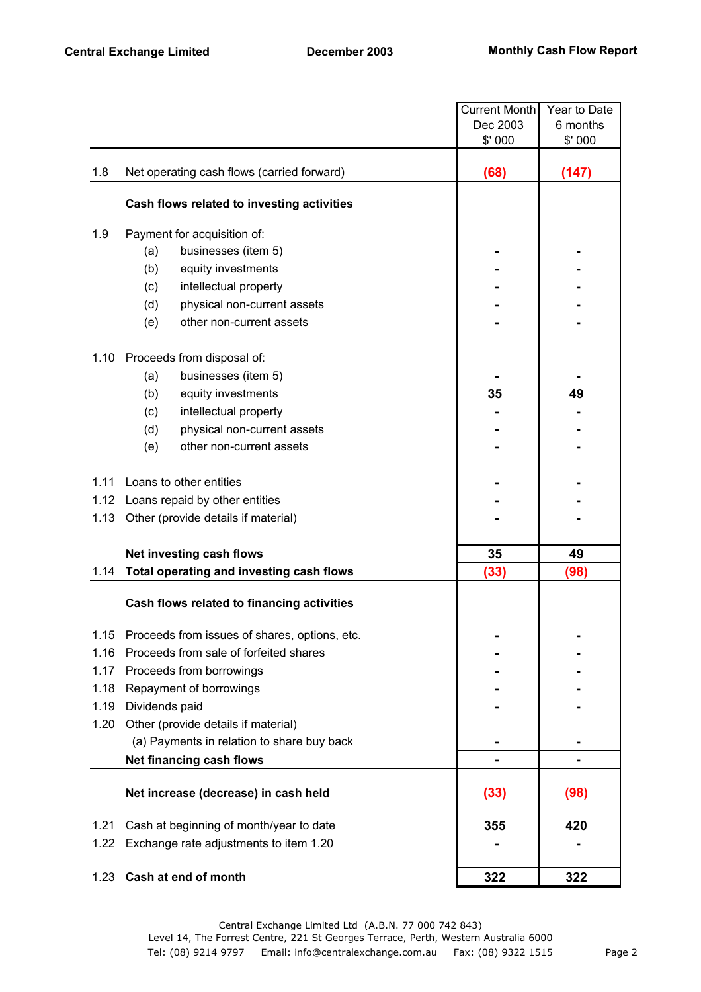|      |                                               | <b>Current Month</b> | Year to Date |
|------|-----------------------------------------------|----------------------|--------------|
|      |                                               | Dec 2003             | 6 months     |
|      |                                               | \$' 000              | \$'000       |
| 1.8  | Net operating cash flows (carried forward)    | (68)                 | (147)        |
|      | Cash flows related to investing activities    |                      |              |
| 1.9  | Payment for acquisition of:                   |                      |              |
|      | businesses (item 5)<br>(a)                    |                      |              |
|      | (b)<br>equity investments                     |                      |              |
|      | (c)<br>intellectual property                  |                      |              |
|      | (d)<br>physical non-current assets            |                      |              |
|      | other non-current assets<br>(e)               |                      |              |
| 1.10 | Proceeds from disposal of:                    |                      |              |
|      | businesses (item 5)<br>(a)                    |                      |              |
|      | (b)<br>equity investments                     | 35                   | 49           |
|      | (c)<br>intellectual property                  |                      |              |
|      | physical non-current assets<br>(d)            |                      |              |
|      | other non-current assets<br>(e)               |                      |              |
| 1.11 | Loans to other entities                       |                      |              |
| 1.12 | Loans repaid by other entities                |                      |              |
| 1.13 | Other (provide details if material)           |                      |              |
|      | Net investing cash flows                      | 35                   | 49           |
| 1.14 | Total operating and investing cash flows      | (33)                 | (98)         |
|      | Cash flows related to financing activities    |                      |              |
| 1.15 | Proceeds from issues of shares, options, etc. |                      |              |
| 1.16 | Proceeds from sale of forfeited shares        |                      |              |
| 1.17 | Proceeds from borrowings                      |                      |              |
| 1.18 | Repayment of borrowings                       |                      |              |
| 1.19 | Dividends paid                                |                      |              |
| 1.20 | Other (provide details if material)           |                      |              |
|      | (a) Payments in relation to share buy back    |                      |              |
|      | Net financing cash flows                      |                      |              |
|      | Net increase (decrease) in cash held          | (33)                 | (98)         |
| 1.21 | Cash at beginning of month/year to date       | 355                  | 420          |
| 1.22 | Exchange rate adjustments to item 1.20        |                      |              |
| 1.23 | Cash at end of month                          | 322                  | 322          |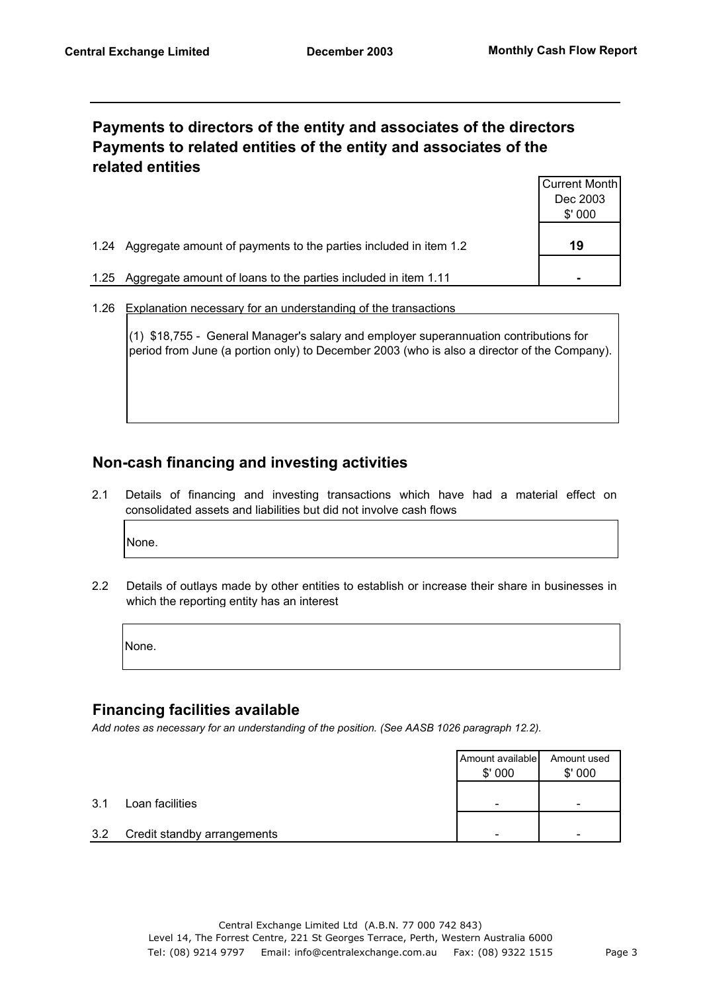## **Payments to directors of the entity and associates of the directors Payments to related entities of the entity and associates of the related entities**

|      |                                                                  | Current Month |
|------|------------------------------------------------------------------|---------------|
|      |                                                                  | Dec 2003      |
|      |                                                                  | \$'000        |
|      |                                                                  |               |
| 1.24 | Aggregate amount of payments to the parties included in item 1.2 | 19            |
|      |                                                                  |               |
| 1.25 | Aggregate amount of loans to the parties included in item 1.11   |               |
|      |                                                                  |               |

1.26 Explanation necessary for an understanding of the transactions

(1) \$18,755 - General Manager's salary and employer superannuation contributions for period from June (a portion only) to December 2003 (who is also a director of the Company).

## **Non-cash financing and investing activities**

2.1 Details of financing and investing transactions which have had a material effect on consolidated assets and liabilities but did not involve cash flows

None.

2.2 Details of outlays made by other entities to establish or increase their share in businesses in which the reporting entity has an interest

None.

#### **Financing facilities available**

*Add notes as necessary for an understanding of the position. (See AASB 1026 paragraph 12.2).*

|     |                             | Amount available<br>\$'000 | Amount used<br>\$'000 |
|-----|-----------------------------|----------------------------|-----------------------|
| 3.1 | Loan facilities             | -                          |                       |
| 3.2 | Credit standby arrangements |                            |                       |